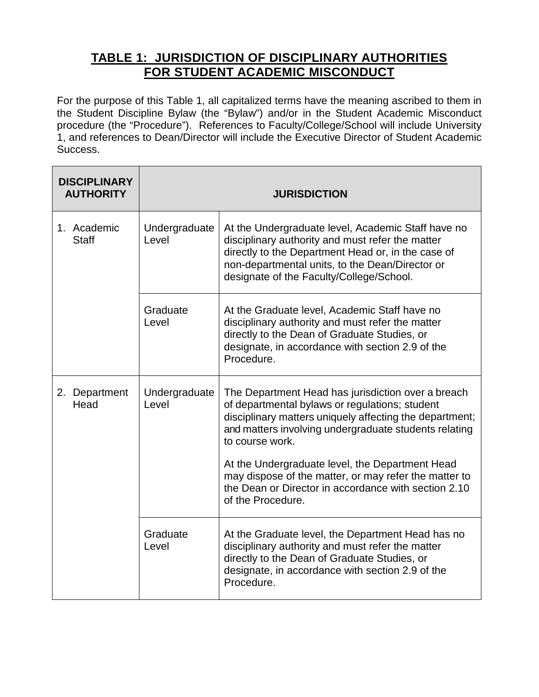## **TABLE 1: JURISDICTION OF DISCIPLINARY AUTHORITIES FOR STUDENT ACADEMIC MISCONDUCT**

For the purpose of this Table 1, all capitalized terms have the meaning ascribed to them in the Student Discipline Bylaw (the "Bylaw") and/or in the Student Academic Misconduct procedure (the "Procedure"). References to Faculty/College/School will include University 1, and references to Dean/Director will include the Executive Director of Student Academic Success.

| <b>DISCIPLINARY</b><br><b>AUTHORITY</b> | <b>JURISDICTION</b>    |                                                                                                                                                                                                                                                             |
|-----------------------------------------|------------------------|-------------------------------------------------------------------------------------------------------------------------------------------------------------------------------------------------------------------------------------------------------------|
| 1. Academic<br><b>Staff</b>             | Undergraduate<br>Level | At the Undergraduate level, Academic Staff have no<br>disciplinary authority and must refer the matter<br>directly to the Department Head or, in the case of<br>non-departmental units, to the Dean/Director or<br>designate of the Faculty/College/School. |
|                                         | Graduate<br>Level      | At the Graduate level, Academic Staff have no<br>disciplinary authority and must refer the matter<br>directly to the Dean of Graduate Studies, or<br>designate, in accordance with section 2.9 of the<br>Procedure.                                         |
| 2. Department<br>Head                   | Undergraduate<br>Level | The Department Head has jurisdiction over a breach<br>of departmental bylaws or regulations; student<br>disciplinary matters uniquely affecting the department;<br>and matters involving undergraduate students relating<br>to course work.                 |
|                                         |                        | At the Undergraduate level, the Department Head<br>may dispose of the matter, or may refer the matter to<br>the Dean or Director in accordance with section 2.10<br>of the Procedure.                                                                       |
|                                         | Graduate<br>Level      | At the Graduate level, the Department Head has no<br>disciplinary authority and must refer the matter<br>directly to the Dean of Graduate Studies, or<br>designate, in accordance with section 2.9 of the<br>Procedure.                                     |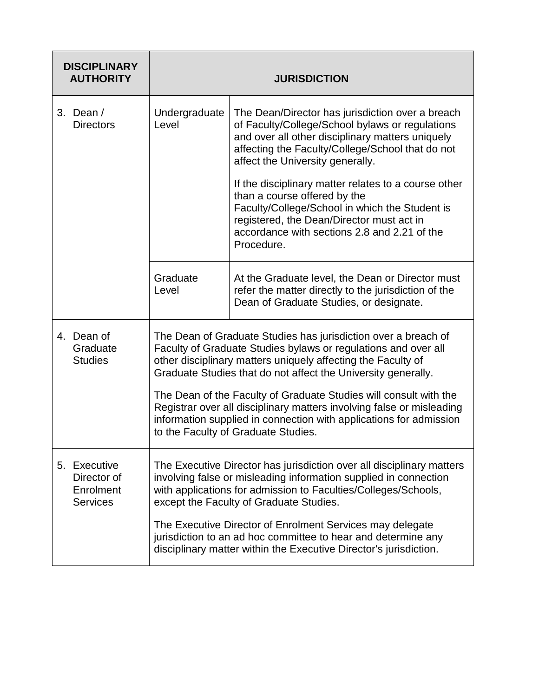| <b>DISCIPLINARY</b><br><b>AUTHORITY</b>                     | <b>JURISDICTION</b>                                                                                                                                                                                                                                                                                                                                                                                                                                                                                                          |                                                                                                                                                                                                                                                   |
|-------------------------------------------------------------|------------------------------------------------------------------------------------------------------------------------------------------------------------------------------------------------------------------------------------------------------------------------------------------------------------------------------------------------------------------------------------------------------------------------------------------------------------------------------------------------------------------------------|---------------------------------------------------------------------------------------------------------------------------------------------------------------------------------------------------------------------------------------------------|
| 3. Dean $/$<br><b>Directors</b>                             | Undergraduate<br>Level                                                                                                                                                                                                                                                                                                                                                                                                                                                                                                       | The Dean/Director has jurisdiction over a breach<br>of Faculty/College/School bylaws or regulations<br>and over all other disciplinary matters uniquely<br>affecting the Faculty/College/School that do not<br>affect the University generally.   |
|                                                             |                                                                                                                                                                                                                                                                                                                                                                                                                                                                                                                              | If the disciplinary matter relates to a course other<br>than a course offered by the<br>Faculty/College/School in which the Student is<br>registered, the Dean/Director must act in<br>accordance with sections 2.8 and 2.21 of the<br>Procedure. |
|                                                             | Graduate<br>Level                                                                                                                                                                                                                                                                                                                                                                                                                                                                                                            | At the Graduate level, the Dean or Director must<br>refer the matter directly to the jurisdiction of the<br>Dean of Graduate Studies, or designate.                                                                                               |
| 4. Dean of<br>Graduate<br><b>Studies</b>                    | The Dean of Graduate Studies has jurisdiction over a breach of<br>Faculty of Graduate Studies bylaws or regulations and over all<br>other disciplinary matters uniquely affecting the Faculty of<br>Graduate Studies that do not affect the University generally.<br>The Dean of the Faculty of Graduate Studies will consult with the<br>Registrar over all disciplinary matters involving false or misleading<br>information supplied in connection with applications for admission<br>to the Faculty of Graduate Studies. |                                                                                                                                                                                                                                                   |
| 5. Executive<br>Director of<br>Enrolment<br><b>Services</b> | The Executive Director has jurisdiction over all disciplinary matters<br>involving false or misleading information supplied in connection<br>with applications for admission to Faculties/Colleges/Schools,<br>except the Faculty of Graduate Studies.<br>The Executive Director of Enrolment Services may delegate                                                                                                                                                                                                          |                                                                                                                                                                                                                                                   |
|                                                             |                                                                                                                                                                                                                                                                                                                                                                                                                                                                                                                              | jurisdiction to an ad hoc committee to hear and determine any<br>disciplinary matter within the Executive Director's jurisdiction.                                                                                                                |